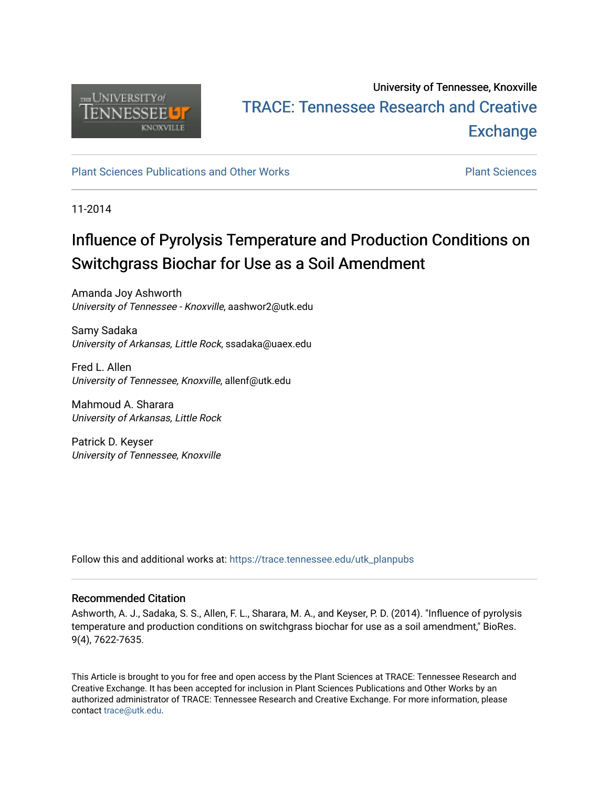

## University of Tennessee, Knoxville TRACE: T[ennessee Research and Cr](https://trace.tennessee.edu/)eative **Exchange**

### [Plant Sciences Publications and Other Works](https://trace.tennessee.edu/utk_planpubs) [Plant Sciences](https://trace.tennessee.edu/utk-plan)

11-2014

# Influence of Pyrolysis Temperature and Production Conditions on Switchgrass Biochar for Use as a Soil Amendment

Amanda Joy Ashworth University of Tennessee - Knoxville, aashwor2@utk.edu

Samy Sadaka University of Arkansas, Little Rock, ssadaka@uaex.edu

Fred L. Allen University of Tennessee, Knoxville, allenf@utk.edu

Mahmoud A. Sharara University of Arkansas, Little Rock

Patrick D. Keyser University of Tennessee, Knoxville

Follow this and additional works at: [https://trace.tennessee.edu/utk\\_planpubs](https://trace.tennessee.edu/utk_planpubs?utm_source=trace.tennessee.edu%2Futk_planpubs%2F92&utm_medium=PDF&utm_campaign=PDFCoverPages) 

#### Recommended Citation

Ashworth, A. J., Sadaka, S. S., Allen, F. L., Sharara, M. A., and Keyser, P. D. (2014). "Influence of pyrolysis temperature and production conditions on switchgrass biochar for use as a soil amendment," BioRes. 9(4), 7622-7635.

This Article is brought to you for free and open access by the Plant Sciences at TRACE: Tennessee Research and Creative Exchange. It has been accepted for inclusion in Plant Sciences Publications and Other Works by an authorized administrator of TRACE: Tennessee Research and Creative Exchange. For more information, please contact [trace@utk.edu](mailto:trace@utk.edu).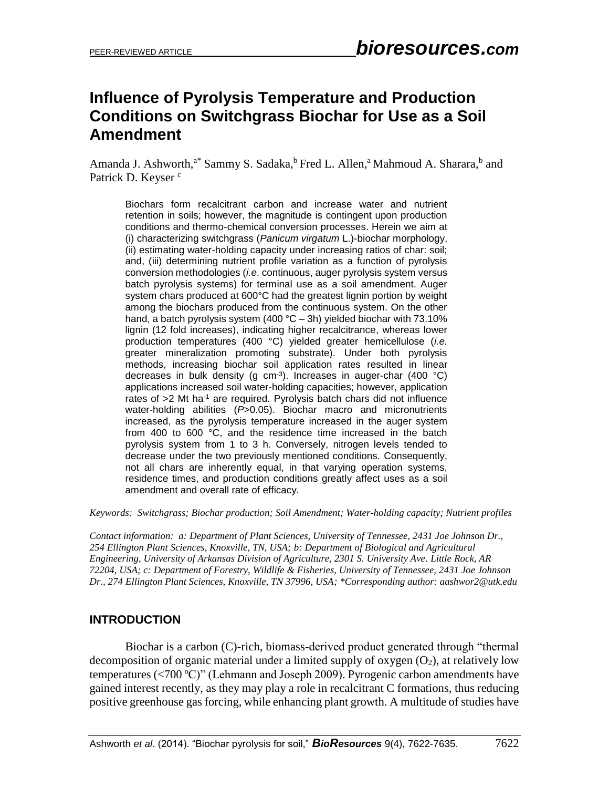## **Influence of Pyrolysis Temperature and Production Conditions on Switchgrass Biochar for Use as a Soil Amendment**

Amanda J. Ashworth,<sup>a\*</sup> Sammy S. Sadaka,<sup>b</sup> Fred L. Allen,<sup>a</sup> Mahmoud A. Sharara,<sup>b</sup> and Patrick D. Keyser<sup>c</sup>

Biochars form recalcitrant carbon and increase water and nutrient retention in soils; however, the magnitude is contingent upon production conditions and thermo-chemical conversion processes. Herein we aim at (i) characterizing switchgrass (*Panicum virgatum* L.)-biochar morphology, (ii) estimating water-holding capacity under increasing ratios of char: soil; and, (iii) determining nutrient profile variation as a function of pyrolysis conversion methodologies (*i.e*. continuous, auger pyrolysis system versus batch pyrolysis systems) for terminal use as a soil amendment. Auger system chars produced at 600°C had the greatest lignin portion by weight among the biochars produced from the continuous system. On the other hand, a batch pyrolysis system (400 °C – 3h) yielded biochar with 73.10% lignin (12 fold increases), indicating higher recalcitrance, whereas lower production temperatures (400 °C) yielded greater hemicellulose (*i.e.* greater mineralization promoting substrate). Under both pyrolysis methods, increasing biochar soil application rates resulted in linear decreases in bulk density (g  $cm<sup>-3</sup>$ ). Increases in auger-char (400 °C) applications increased soil water-holding capacities; however, application rates of >2 Mt ha<sup>-1</sup> are required. Pyrolysis batch chars did not influence water-holding abilities (*P*>0.05). Biochar macro and micronutrients increased, as the pyrolysis temperature increased in the auger system from 400 to 600 °C, and the residence time increased in the batch pyrolysis system from 1 to 3 h. Conversely, nitrogen levels tended to decrease under the two previously mentioned conditions. Consequently, not all chars are inherently equal, in that varying operation systems, residence times, and production conditions greatly affect uses as a soil amendment and overall rate of efficacy.

*Keywords: Switchgrass; Biochar production; Soil Amendment; Water-holding capacity; Nutrient profiles* 

*Contact information: a: Department of Plant Sciences, University of Tennessee, 2431 Joe Johnson Dr., 254 Ellington Plant Sciences, Knoxville, TN, USA; b: Department of Biological and Agricultural Engineering, University of Arkansas Division of Agriculture, 2301 S. University Ave. Little Rock, AR 72204, USA; c: Department of Forestry, Wildlife & Fisheries, University of Tennessee, 2431 Joe Johnson Dr., 274 Ellington Plant Sciences, Knoxville, TN 37996, USA; \*Corresponding author: aashwor2@utk.edu*

## **INTRODUCTION**

Biochar is a carbon (C)-rich, biomass-derived product generated through "thermal decomposition of organic material under a limited supply of oxygen  $(O_2)$ , at relatively low temperatures (<700 ºC)" (Lehmann and Joseph 2009). Pyrogenic carbon amendments have gained interest recently, as they may play a role in recalcitrant C formations, thus reducing positive greenhouse gas forcing, while enhancing plant growth. A multitude of studies have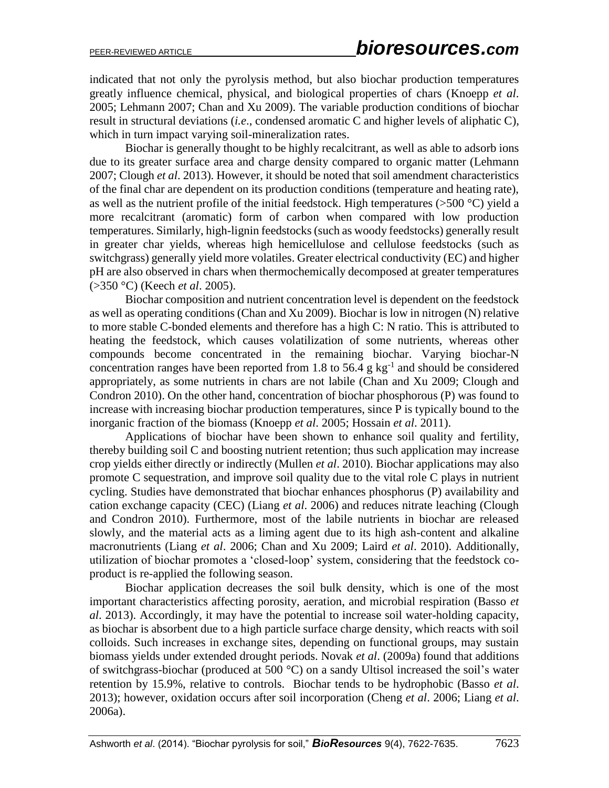indicated that not only the pyrolysis method, but also biochar production temperatures greatly influence chemical, physical, and biological properties of chars (Knoepp *et al*. 2005; Lehmann 2007; Chan and Xu 2009). The variable production conditions of biochar result in structural deviations (*i.e*., condensed aromatic C and higher levels of aliphatic C), which in turn impact varying soil-mineralization rates.

Biochar is generally thought to be highly recalcitrant, as well as able to adsorb ions due to its greater surface area and charge density compared to organic matter (Lehmann 2007; Clough *et al*. 2013). However, it should be noted that soil amendment characteristics of the final char are dependent on its production conditions (temperature and heating rate), as well as the nutrient profile of the initial feedstock. High temperatures ( $>500$  °C) yield a more recalcitrant (aromatic) form of carbon when compared with low production temperatures. Similarly, high-lignin feedstocks (such as woody feedstocks) generally result in greater char yields, whereas high hemicellulose and cellulose feedstocks (such as switchgrass) generally yield more volatiles. Greater electrical conductivity (EC) and higher pH are also observed in chars when thermochemically decomposed at greater temperatures (>350 °C) (Keech *et al*. 2005).

Biochar composition and nutrient concentration level is dependent on the feedstock as well as operating conditions (Chan and Xu 2009). Biochar is low in nitrogen (N) relative to more stable C-bonded elements and therefore has a high C: N ratio. This is attributed to heating the feedstock, which causes volatilization of some nutrients, whereas other compounds become concentrated in the remaining biochar. Varying biochar-N concentration ranges have been reported from 1.8 to 56.4  $g kg^{-1}$  and should be considered appropriately, as some nutrients in chars are not labile (Chan and Xu 2009; Clough and Condron 2010). On the other hand, concentration of biochar phosphorous (P) was found to increase with increasing biochar production temperatures, since P is typically bound to the inorganic fraction of the biomass (Knoepp *et al*. 2005; Hossain *et al*. 2011).

Applications of biochar have been shown to enhance soil quality and fertility, thereby building soil C and boosting nutrient retention; thus such application may increase crop yields either directly or indirectly (Mullen *et al*. 2010). Biochar applications may also promote C sequestration, and improve soil quality due to the vital role C plays in nutrient cycling. Studies have demonstrated that biochar enhances phosphorus (P) availability and cation exchange capacity (CEC) (Liang *et al*. 2006) and reduces nitrate leaching (Clough and Condron 2010). Furthermore, most of the labile nutrients in biochar are released slowly, and the material acts as a liming agent due to its high ash-content and alkaline macronutrients (Liang *et al*. 2006; Chan and Xu 2009; Laird *et al*. 2010). Additionally, utilization of biochar promotes a 'closed-loop' system, considering that the feedstock coproduct is re-applied the following season.

Biochar application decreases the soil bulk density, which is one of the most important characteristics affecting porosity, aeration, and microbial respiration (Basso *et al*. 2013). Accordingly, it may have the potential to increase soil water-holding capacity, as biochar is absorbent due to a high particle surface charge density, which reacts with soil colloids. Such increases in exchange sites, depending on functional groups, may sustain biomass yields under extended drought periods. Novak *et al*. (2009a) found that additions of switchgrass-biochar (produced at 500 °C) on a sandy Ultisol increased the soil's water retention by 15.9%, relative to controls. Biochar tends to be hydrophobic (Basso *et al*. 2013); however, oxidation occurs after soil incorporation (Cheng *et al*. 2006; Liang *et al*. 2006a).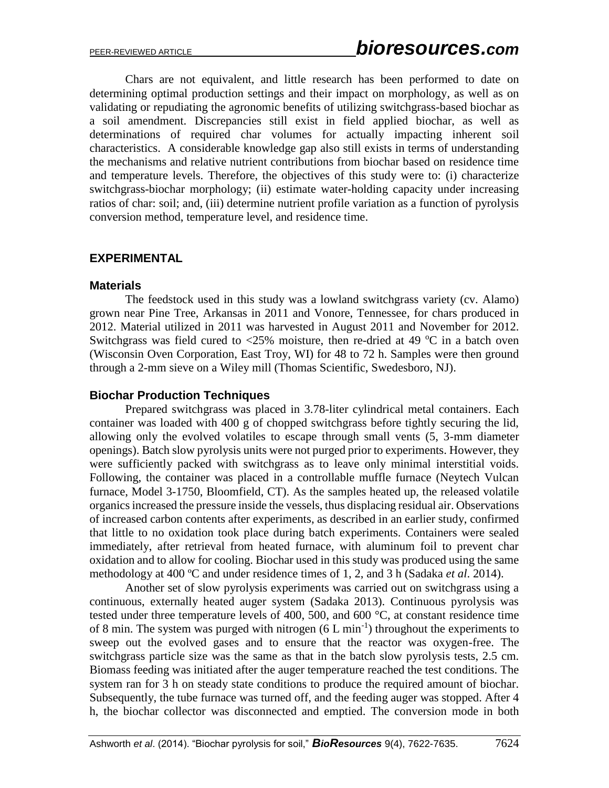Chars are not equivalent, and little research has been performed to date on determining optimal production settings and their impact on morphology, as well as on validating or repudiating the agronomic benefits of utilizing switchgrass-based biochar as a soil amendment. Discrepancies still exist in field applied biochar, as well as determinations of required char volumes for actually impacting inherent soil characteristics. A considerable knowledge gap also still exists in terms of understanding the mechanisms and relative nutrient contributions from biochar based on residence time and temperature levels. Therefore, the objectives of this study were to: (i) characterize switchgrass-biochar morphology; (ii) estimate water-holding capacity under increasing ratios of char: soil; and, (iii) determine nutrient profile variation as a function of pyrolysis conversion method, temperature level, and residence time.

### **EXPERIMENTAL**

#### **Materials**

The feedstock used in this study was a lowland switchgrass variety (cv. Alamo) grown near Pine Tree, Arkansas in 2011 and Vonore, Tennessee, for chars produced in 2012. Material utilized in 2011 was harvested in August 2011 and November for 2012. Switchgrass was field cured to  $\langle 25\%$  moisture, then re-dried at 49 °C in a batch oven (Wisconsin Oven Corporation, East Troy, WI) for 48 to 72 h. Samples were then ground through a 2-mm sieve on a Wiley mill (Thomas Scientific, Swedesboro, NJ).

### **Biochar Production Techniques**

Prepared switchgrass was placed in 3.78-liter cylindrical metal containers. Each container was loaded with 400 g of chopped switchgrass before tightly securing the lid, allowing only the evolved volatiles to escape through small vents (5, 3-mm diameter openings). Batch slow pyrolysis units were not purged prior to experiments. However, they were sufficiently packed with switchgrass as to leave only minimal interstitial voids. Following, the container was placed in a controllable muffle furnace (Neytech Vulcan furnace, Model 3-1750, Bloomfield, CT). As the samples heated up, the released volatile organics increased the pressure inside the vessels, thus displacing residual air. Observations of increased carbon contents after experiments, as described in an earlier study, confirmed that little to no oxidation took place during batch experiments. Containers were sealed immediately, after retrieval from heated furnace, with aluminum foil to prevent char oxidation and to allow for cooling. Biochar used in this study was produced using the same methodology at 400 ºC and under residence times of 1, 2, and 3 h (Sadaka *et al*. 2014).

Another set of slow pyrolysis experiments was carried out on switchgrass using a continuous, externally heated auger system (Sadaka 2013). Continuous pyrolysis was tested under three temperature levels of 400, 500, and 600 °C, at constant residence time of 8 min. The system was purged with nitrogen  $(6 L min<sup>-1</sup>)$  throughout the experiments to sweep out the evolved gases and to ensure that the reactor was oxygen-free. The switchgrass particle size was the same as that in the batch slow pyrolysis tests, 2.5 cm. Biomass feeding was initiated after the auger temperature reached the test conditions. The system ran for 3 h on steady state conditions to produce the required amount of biochar. Subsequently, the tube furnace was turned off, and the feeding auger was stopped. After 4 h, the biochar collector was disconnected and emptied. The conversion mode in both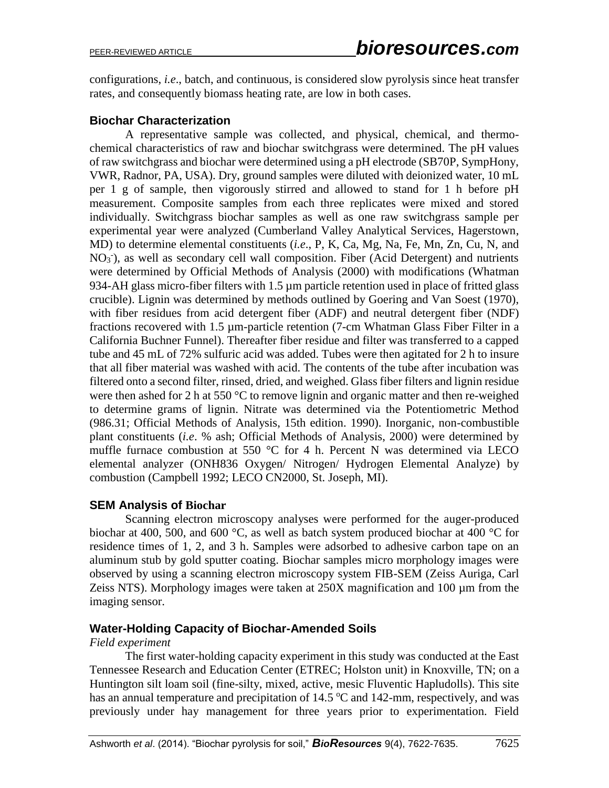configurations, *i.e*., batch, and continuous, is considered slow pyrolysis since heat transfer rates, and consequently biomass heating rate, are low in both cases.

## **Biochar Characterization**

A representative sample was collected, and physical, chemical, and thermochemical characteristics of raw and biochar switchgrass were determined. The pH values of raw switchgrass and biochar were determined using a pH electrode (SB70P, SympHony, VWR, Radnor, PA, USA). Dry, ground samples were diluted with deionized water, 10 mL per 1 g of sample, then vigorously stirred and allowed to stand for 1 h before pH measurement. Composite samples from each three replicates were mixed and stored individually. Switchgrass biochar samples as well as one raw switchgrass sample per experimental year were analyzed (Cumberland Valley Analytical Services, Hagerstown, MD) to determine elemental constituents (*i.e*., P, K, Ca, Mg, Na, Fe, Mn, Zn, Cu, N, and NO<sub>3</sub><sup>-</sup>), as well as secondary cell wall composition. Fiber (Acid Detergent) and nutrients were determined by Official Methods of Analysis (2000) with modifications (Whatman 934-AH glass micro-fiber filters with 1.5 µm particle retention used in place of fritted glass crucible). Lignin was determined by methods outlined by Goering and Van Soest (1970), with fiber residues from acid detergent fiber (ADF) and neutral detergent fiber (NDF) fractions recovered with 1.5 µm-particle retention (7-cm Whatman Glass Fiber Filter in a California Buchner Funnel). Thereafter fiber residue and filter was transferred to a capped tube and 45 mL of 72% sulfuric acid was added. Tubes were then agitated for 2 h to insure that all fiber material was washed with acid. The contents of the tube after incubation was filtered onto a second filter, rinsed, dried, and weighed. Glass fiber filters and lignin residue were then ashed for 2 h at 550 °C to remove lignin and organic matter and then re-weighed to determine grams of lignin. Nitrate was determined via the Potentiometric Method (986.31; Official Methods of Analysis, 15th edition. 1990). Inorganic, non-combustible plant constituents (*i.e*. % ash; Official Methods of Analysis, 2000) were determined by muffle furnace combustion at 550 °C for 4 h. Percent N was determined via LECO elemental analyzer (ONH836 Oxygen/ Nitrogen/ Hydrogen Elemental Analyze) by combustion (Campbell 1992; LECO CN2000, St. Joseph, MI).

## **SEM Analysis of Biochar**

Scanning electron microscopy analyses were performed for the auger-produced biochar at 400, 500, and 600  $^{\circ}$ C, as well as batch system produced biochar at 400  $^{\circ}$ C for residence times of 1, 2, and 3 h. Samples were adsorbed to adhesive carbon tape on an aluminum stub by gold sputter coating. Biochar samples micro morphology images were observed by using a scanning electron microscopy system FIB-SEM (Zeiss Auriga, Carl Zeiss NTS). Morphology images were taken at 250X magnification and 100 µm from the imaging sensor.

## **Water-Holding Capacity of Biochar-Amended Soils**

## *Field experiment*

The first water-holding capacity experiment in this study was conducted at the East Tennessee Research and Education Center (ETREC; Holston unit) in Knoxville, TN; on a Huntington silt loam soil (fine-silty, mixed, active, mesic Fluventic Hapludolls). This site has an annual temperature and precipitation of  $14.5 \degree C$  and  $142$ -mm, respectively, and was previously under hay management for three years prior to experimentation. Field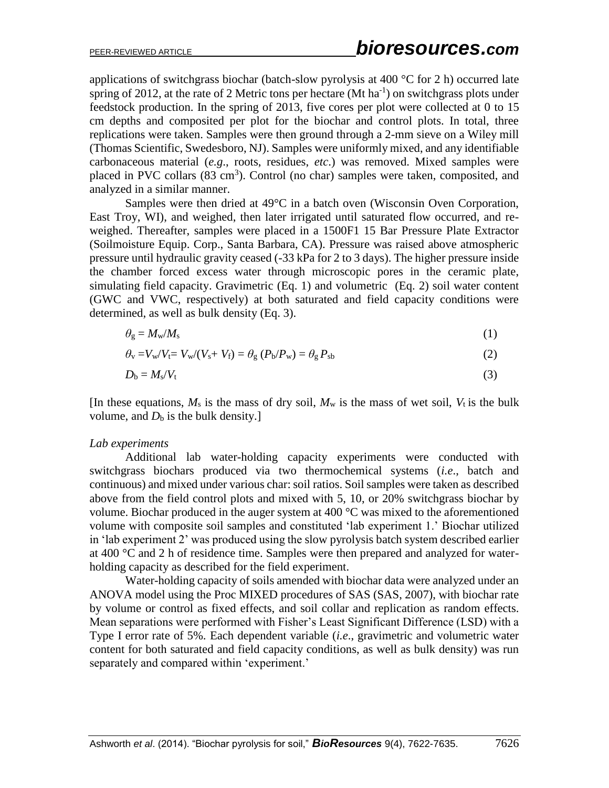applications of switchgrass biochar (batch-slow pyrolysis at 400  $\degree$ C for 2 h) occurred late spring of 2012, at the rate of 2 Metric tons per hectare (Mt ha<sup>-1</sup>) on switchgrass plots under feedstock production. In the spring of 2013, five cores per plot were collected at 0 to 15 cm depths and composited per plot for the biochar and control plots. In total, three replications were taken. Samples were then ground through a 2-mm sieve on a Wiley mill (Thomas Scientific, Swedesboro, NJ). Samples were uniformly mixed, and any identifiable carbonaceous material (*e.g*., roots, residues, *etc*.) was removed. Mixed samples were placed in PVC collars (83 cm<sup>3</sup>). Control (no char) samples were taken, composited, and analyzed in a similar manner.

Samples were then dried at 49°C in a batch oven (Wisconsin Oven Corporation, East Troy, WI), and weighed, then later irrigated until saturated flow occurred, and reweighed. Thereafter, samples were placed in a 1500F1 15 Bar Pressure Plate Extractor (Soilmoisture Equip. Corp., Santa Barbara, CA). Pressure was raised above atmospheric pressure until hydraulic gravity ceased (-33 kPa for 2 to 3 days). The higher pressure inside the chamber forced excess water through microscopic pores in the ceramic plate, simulating field capacity. Gravimetric (Eq. 1) and volumetric (Eq. 2) soil water content (GWC and VWC, respectively) at both saturated and field capacity conditions were determined, as well as bulk density (Eq. 3).

$$
\theta_{g} = M_{w} / M_{s} \tag{1}
$$

$$
\theta_{\rm v}=V_{\rm w}/V_{\rm t}=V_{\rm w}/(V_{\rm s}+V_{\rm f})=\theta_{\rm g}\left(P_{\rm b}/P_{\rm w}\right)=\theta_{\rm g}\,P_{\rm sb}\tag{2}
$$

$$
D_{\rm b}=M_{\rm s}/V_{\rm t} \tag{3}
$$

[In these equations,  $M_s$  is the mass of dry soil,  $M_w$  is the mass of wet soil,  $V_t$  is the bulk volume, and  $D<sub>b</sub>$  is the bulk density.]

#### *Lab experiments*

Additional lab water-holding capacity experiments were conducted with switchgrass biochars produced via two thermochemical systems (*i.e*., batch and continuous) and mixed under various char: soil ratios. Soil samples were taken as described above from the field control plots and mixed with 5, 10, or 20% switchgrass biochar by volume. Biochar produced in the auger system at 400 °C was mixed to the aforementioned volume with composite soil samples and constituted 'lab experiment 1.' Biochar utilized in 'lab experiment 2' was produced using the slow pyrolysis batch system described earlier at 400 °C and 2 h of residence time. Samples were then prepared and analyzed for waterholding capacity as described for the field experiment.

Water-holding capacity of soils amended with biochar data were analyzed under an ANOVA model using the Proc MIXED procedures of SAS (SAS, 2007), with biochar rate by volume or control as fixed effects, and soil collar and replication as random effects. Mean separations were performed with Fisher's Least Significant Difference (LSD) with a Type I error rate of 5%. Each dependent variable (*i.e*., gravimetric and volumetric water content for both saturated and field capacity conditions, as well as bulk density) was run separately and compared within 'experiment.'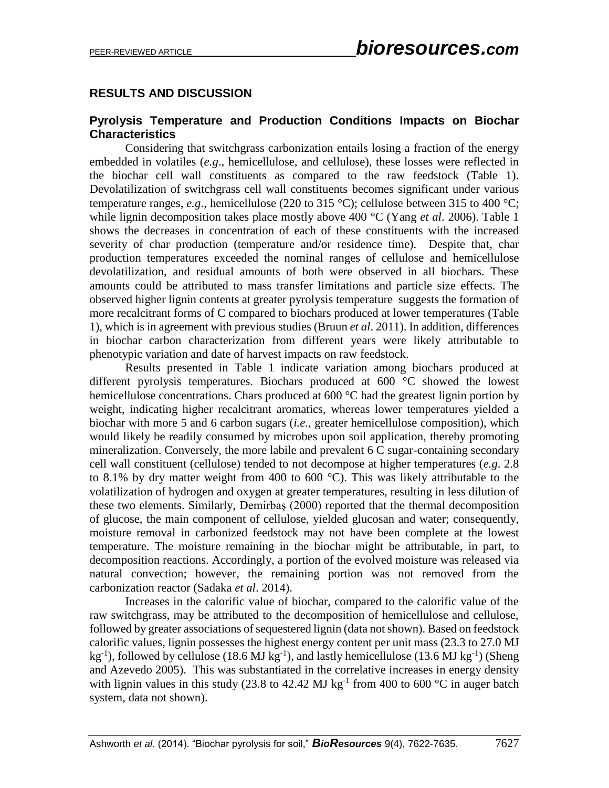## **RESULTS AND DISCUSSION**

## **Pyrolysis Temperature and Production Conditions Impacts on Biochar Characteristics**

Considering that switchgrass carbonization entails losing a fraction of the energy embedded in volatiles (*e.g*., hemicellulose, and cellulose), these losses were reflected in the biochar cell wall constituents as compared to the raw feedstock (Table 1). Devolatilization of switchgrass cell wall constituents becomes significant under various temperature ranges, *e.g.*, hemicellulose (220 to 315 °C); cellulose between 315 to 400 °C; while lignin decomposition takes place mostly above 400 °C (Yang *et al*. 2006). Table 1 shows the decreases in concentration of each of these constituents with the increased severity of char production (temperature and/or residence time). Despite that, char production temperatures exceeded the nominal ranges of cellulose and hemicellulose devolatilization, and residual amounts of both were observed in all biochars. These amounts could be attributed to mass transfer limitations and particle size effects. The observed higher lignin contents at greater pyrolysis temperature suggests the formation of more recalcitrant forms of C compared to biochars produced at lower temperatures (Table 1), which is in agreement with previous studies (Bruun *et al*. 2011). In addition, differences in biochar carbon characterization from different years were likely attributable to phenotypic variation and date of harvest impacts on raw feedstock.

Results presented in Table 1 indicate variation among biochars produced at different pyrolysis temperatures. Biochars produced at 600 °C showed the lowest hemicellulose concentrations. Chars produced at 600 °C had the greatest lignin portion by weight, indicating higher recalcitrant aromatics, whereas lower temperatures yielded a biochar with more 5 and 6 carbon sugars (*i.e*., greater hemicellulose composition), which would likely be readily consumed by microbes upon soil application, thereby promoting mineralization. Conversely, the more labile and prevalent 6 C sugar-containing secondary cell wall constituent (cellulose) tended to not decompose at higher temperatures (*e.g*. 2.8 to 8.1% by dry matter weight from 400 to 600  $^{\circ}$ C). This was likely attributable to the volatilization of hydrogen and oxygen at greater temperatures, resulting in less dilution of these two elements. Similarly, Demirbaş (2000) reported that the thermal decomposition of glucose, the main component of cellulose, yielded glucosan and water; consequently, moisture removal in carbonized feedstock may not have been complete at the lowest temperature. The moisture remaining in the biochar might be attributable, in part, to decomposition reactions. Accordingly, a portion of the evolved moisture was released via natural convection; however, the remaining portion was not removed from the carbonization reactor (Sadaka *et al*. 2014).

Increases in the calorific value of biochar, compared to the calorific value of the raw switchgrass, may be attributed to the decomposition of hemicellulose and cellulose, followed by greater associations of sequestered lignin (data not shown). Based on feedstock calorific values, lignin possesses the highest energy content per unit mass (23.3 to 27.0 MJ kg<sup>-1</sup>), followed by cellulose (18.6 MJ kg<sup>-1</sup>), and lastly hemicellulose (13.6 MJ kg<sup>-1</sup>) (Sheng and Azevedo 2005). This was substantiated in the correlative increases in energy density with lignin values in this study (23.8 to 42.42 MJ kg<sup>-1</sup> from 400 to 600 °C in auger batch system, data not shown).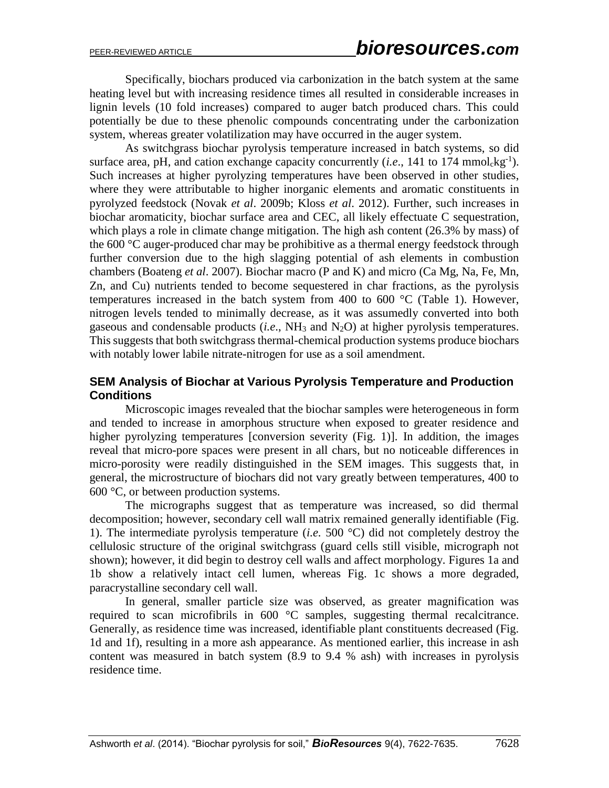Specifically, biochars produced via carbonization in the batch system at the same heating level but with increasing residence times all resulted in considerable increases in lignin levels (10 fold increases) compared to auger batch produced chars. This could potentially be due to these phenolic compounds concentrating under the carbonization system, whereas greater volatilization may have occurred in the auger system.

As switchgrass biochar pyrolysis temperature increased in batch systems, so did surface area, pH, and cation exchange capacity concurrently (*i.e.*, 141 to 174 mmol $\text{kg}^{-1}$ ). Such increases at higher pyrolyzing temperatures have been observed in other studies, where they were attributable to higher inorganic elements and aromatic constituents in pyrolyzed feedstock (Novak *et al*. 2009b; Kloss *et al*. 2012). Further, such increases in biochar aromaticity, biochar surface area and CEC, all likely effectuate C sequestration, which plays a role in climate change mitigation. The high ash content (26.3% by mass) of the 600 °C auger-produced char may be prohibitive as a thermal energy feedstock through further conversion due to the high slagging potential of ash elements in combustion chambers (Boateng *et al*. 2007). Biochar macro (P and K) and micro (Ca Mg, Na, Fe, Mn, Zn, and Cu) nutrients tended to become sequestered in char fractions, as the pyrolysis temperatures increased in the batch system from 400 to 600  $^{\circ}$ C (Table 1). However, nitrogen levels tended to minimally decrease, as it was assumedly converted into both gaseous and condensable products (*i.e*., NH<sup>3</sup> and N2O) at higher pyrolysis temperatures. This suggests that both switchgrass thermal-chemical production systems produce biochars with notably lower labile nitrate-nitrogen for use as a soil amendment.

## **SEM Analysis of Biochar at Various Pyrolysis Temperature and Production Conditions**

Microscopic images revealed that the biochar samples were heterogeneous in form and tended to increase in amorphous structure when exposed to greater residence and higher pyrolyzing temperatures [conversion severity (Fig. 1)]. In addition, the images reveal that micro-pore spaces were present in all chars, but no noticeable differences in micro-porosity were readily distinguished in the SEM images. This suggests that, in general, the microstructure of biochars did not vary greatly between temperatures, 400 to 600 °C, or between production systems.

The micrographs suggest that as temperature was increased, so did thermal decomposition; however, secondary cell wall matrix remained generally identifiable (Fig. 1). The intermediate pyrolysis temperature (*i.e.* 500 °C) did not completely destroy the cellulosic structure of the original switchgrass (guard cells still visible, micrograph not shown); however, it did begin to destroy cell walls and affect morphology. Figures 1a and 1b show a relatively intact cell lumen, whereas Fig. 1c shows a more degraded, paracrystalline secondary cell wall.

In general, smaller particle size was observed, as greater magnification was required to scan microfibrils in 600 °C samples, suggesting thermal recalcitrance. Generally, as residence time was increased, identifiable plant constituents decreased (Fig. 1d and 1f), resulting in a more ash appearance. As mentioned earlier, this increase in ash content was measured in batch system (8.9 to 9.4 % ash) with increases in pyrolysis residence time.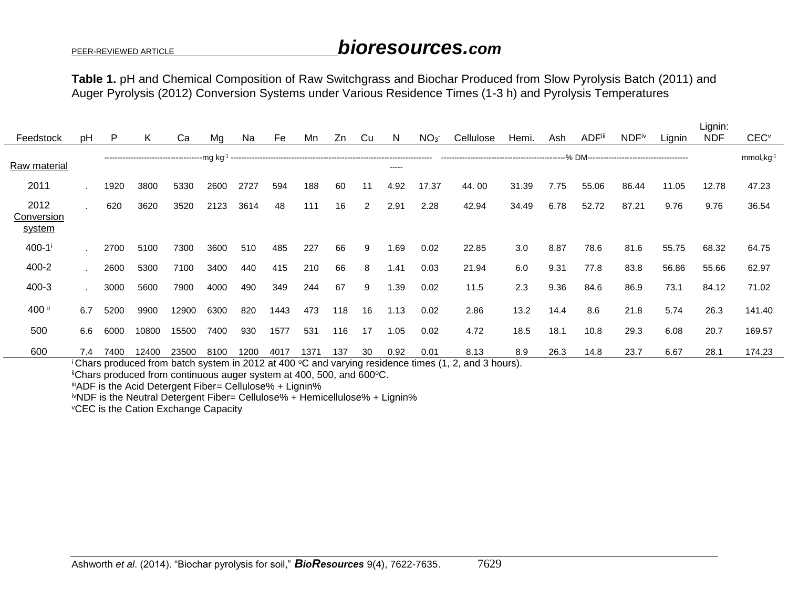## PEER-REVIEWED ARTICLE *bioresources.com*

Lignin:

**Table 1.** pH and Chemical Composition of Raw Switchgrass and Biochar Produced from Slow Pyrolysis Batch (2011) and Auger Pyrolysis (2012) Conversion Systems under Various Residence Times (1-3 h) and Pyrolysis Temperatures

|                                                                                                     |     |      |       |       |      |      |      |      |     |    |       |                 |           |       |      |               |              |        | Lignin:    |                          |
|-----------------------------------------------------------------------------------------------------|-----|------|-------|-------|------|------|------|------|-----|----|-------|-----------------|-----------|-------|------|---------------|--------------|--------|------------|--------------------------|
| Feedstock                                                                                           | рH  | P    | ĸ     | Ca    | Mq   | Na   | Fe   | Mn   | Zn  | Cu | N     | NO <sub>3</sub> | Cellulose | Hemi. | Ash  | <b>ADFiii</b> | <b>NDFiv</b> | Lignin | <b>NDF</b> | <b>CEC</b> <sup>v</sup>  |
| Raw material                                                                                        |     |      |       |       |      |      |      |      |     |    | ----- |                 |           |       |      |               |              |        |            | $mmolc$ kg <sup>-1</sup> |
| 2011                                                                                                |     | 1920 | 3800  | 5330  | 2600 | 2727 | 594  | 188  | 60  | 11 | 4.92  | 17.37           | 44.00     | 31.39 | 7.75 | 55.06         | 86.44        | 11.05  | 12.78      | 47.23                    |
| 2012<br>Conversion<br>system                                                                        |     | 620  | 3620  | 3520  | 2123 | 3614 | 48   | 111  | 16  | 2  | 2.91  | 2.28            | 42.94     | 34.49 | 6.78 | 52.72         | 87.21        | 9.76   | 9.76       | 36.54                    |
| $400 - 1$ <sup>i</sup>                                                                              |     | 2700 | 5100  | 7300  | 3600 | 510  | 485  | 227  | 66  | 9  | 1.69  | 0.02            | 22.85     | 3.0   | 8.87 | 78.6          | 81.6         | 55.75  | 68.32      | 64.75                    |
| 400-2                                                                                               |     | 2600 | 5300  | 7100  | 3400 | 440  | 415  | 210  | 66  | 8  | 1.41  | 0.03            | 21.94     | 6.0   | 9.31 | 77.8          | 83.8         | 56.86  | 55.66      | 62.97                    |
| 400-3                                                                                               |     | 3000 | 5600  | 7900  | 4000 | 490  | 349  | 244  | 67  | 9  | 1.39  | 0.02            | 11.5      | 2.3   | 9.36 | 84.6          | 86.9         | 73.1   | 84.12      | 71.02                    |
| 400 ii                                                                                              | 6.7 | 5200 | 9900  | 12900 | 6300 | 820  | 1443 | 473  | 118 | 16 | 1.13  | 0.02            | 2.86      | 13.2  | 14.4 | 8.6           | 21.8         | 5.74   | 26.3       | 141.40                   |
| 500                                                                                                 | 6.6 | 6000 | 10800 | 15500 | 7400 | 930  | 1577 | 531  | 116 | 17 | 1.05  | 0.02            | 4.72      | 18.5  | 18.1 | 10.8          | 29.3         | 6.08   | 20.7       | 169.57                   |
| 600                                                                                                 | 7.4 | 7400 | 12400 | 23500 | 8100 | 1200 | 4017 | 1371 | 137 | 30 | 0.92  | 0.01            | 8.13      | 8.9   | 26.3 | 14.8          | 23.7         | 6.67   | 28.1       | 174.23                   |
| Chars produced from batch system in 2012 at 400 °C and varying residence times (1, 2, and 3 hours). |     |      |       |       |      |      |      |      |     |    |       |                 |           |       |      |               |              |        |            |                          |

"Chars produced from continuous auger system at 400, 500, and 600°C.

iiiADF is the Acid Detergent Fiber= Cellulose% + Lignin%

ivNDF is the Neutral Detergent Fiber= Cellulose% + Hemicellulose% + Lignin%

<sup>v</sup>CEC is the Cation Exchange Capacity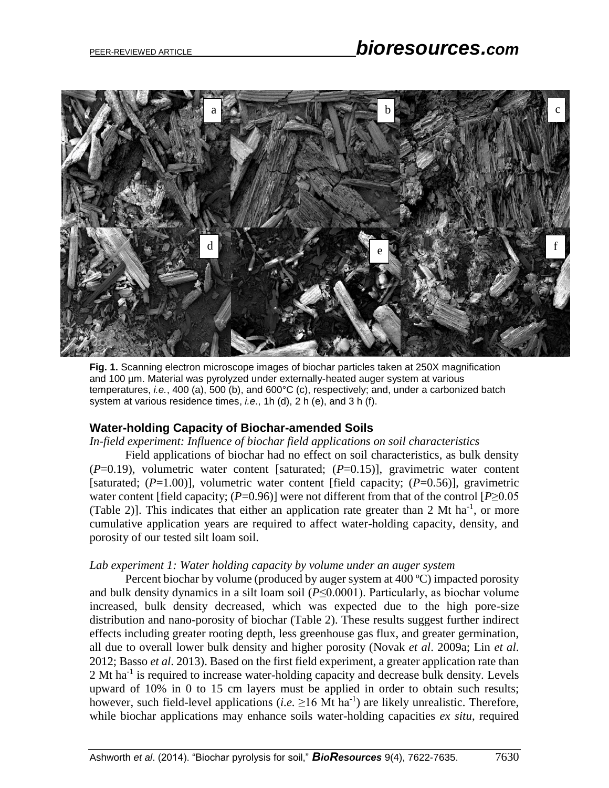

**Fig. 1.** Scanning electron microscope images of biochar particles taken at 250X magnification and 100 µm. Material was pyrolyzed under externally-heated auger system at various temperatures, *i.e.*, 400 (a), 500 (b), and 600°C (c), respectively; and, under a carbonized batch system at various residence times, *i.e*., 1h (d), 2 h (e), and 3 h (f).

#### **Water-holding Capacity of Biochar-amended Soils**

*In-field experiment: Influence of biochar field applications on soil characteristics* 

Field applications of biochar had no effect on soil characteristics, as bulk density (*P*=0.19), volumetric water content [saturated; (*P*=0.15)], gravimetric water content [saturated;  $(P=1.00)$ ], volumetric water content [field capacity;  $(P=0.56)$ ], gravimetric water content [field capacity; (*P*=0.96)] were not different from that of the control [*P*≥0.05 (Table 2)]. This indicates that either an application rate greater than 2 Mt ha<sup>-1</sup>, or more cumulative application years are required to affect water-holding capacity, density, and porosity of our tested silt loam soil.

#### *Lab experiment 1: Water holding capacity by volume under an auger system*

Percent biochar by volume (produced by auger system at 400 ºC) impacted porosity and bulk density dynamics in a silt loam soil (*P*≤0.0001). Particularly, as biochar volume increased, bulk density decreased, which was expected due to the high pore-size distribution and nano-porosity of biochar (Table 2). These results suggest further indirect effects including greater rooting depth, less greenhouse gas flux, and greater germination, all due to overall lower bulk density and higher porosity (Novak *et al*. 2009a; Lin *et al*. 2012; Basso *et al*. 2013). Based on the first field experiment, a greater application rate than  $2 \text{ Mt} \text{ ha}^{-1}$  is required to increase water-holding capacity and decrease bulk density. Levels upward of 10% in 0 to 15 cm layers must be applied in order to obtain such results; however, such field-level applications (*i.e.*  $\geq$ 16 Mt ha<sup>-1</sup>) are likely unrealistic. Therefore, while biochar applications may enhance soils water-holding capacities *ex situ*, required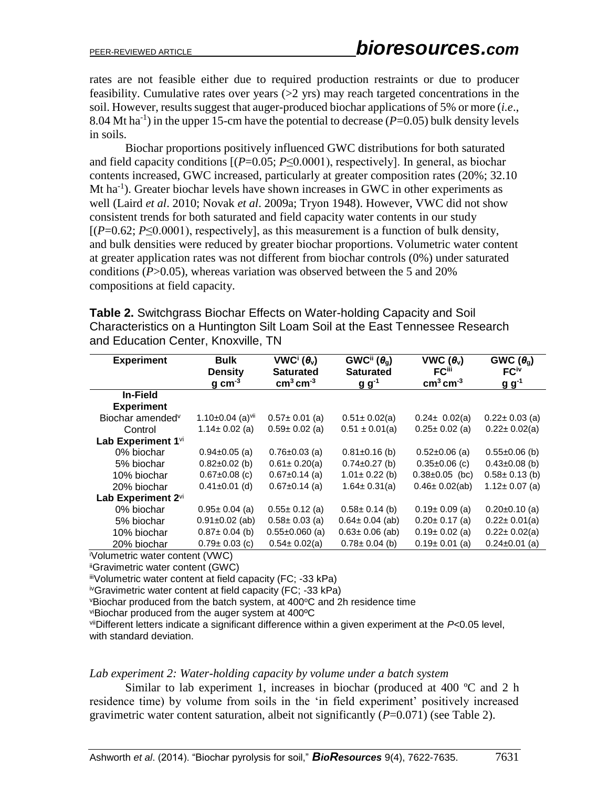rates are not feasible either due to required production restraints or due to producer feasibility. Cumulative rates over years  $(>= 2$  yrs) may reach targeted concentrations in the soil. However, results suggest that auger-produced biochar applications of 5% or more (*i.e*., 8.04 Mt ha<sup>-1</sup>) in the upper 15-cm have the potential to decrease  $(P=0.05)$  bulk density levels in soils.

Biochar proportions positively influenced GWC distributions for both saturated and field capacity conditions [(*P*=0.05; *P*≤0.0001), respectively]. In general, as biochar contents increased, GWC increased, particularly at greater composition rates (20%; 32.10 Mt ha<sup>-1</sup>). Greater biochar levels have shown increases in GWC in other experiments as well (Laird *et al*. 2010; Novak *et al*. 2009a; Tryon 1948). However, VWC did not show consistent trends for both saturated and field capacity water contents in our study  $[(P=0.62; P<0.0001)$ , respectively], as this measurement is a function of bulk density, and bulk densities were reduced by greater biochar proportions. Volumetric water content at greater application rates was not different from biochar controls (0%) under saturated conditions (*P*>0.05), whereas variation was observed between the 5 and 20% compositions at field capacity.

**Table 2.** Switchgrass Biochar Effects on Water-holding Capacity and Soil Characteristics on a Huntington Silt Loam Soil at the East Tennessee Research and Education Center, Knoxville, TN

| <b>Experiment</b>            | <b>Bulk</b>                        | VWC <sup>i</sup> $(\theta_v)$ | GWC <sup>ii</sup> ( $\theta_{q}$ ) | VWC $(\theta_v)$         | GWC $(\theta_q)$    |  |
|------------------------------|------------------------------------|-------------------------------|------------------------------------|--------------------------|---------------------|--|
|                              | <b>Density</b>                     | <b>Saturated</b>              | <b>Saturated</b>                   | <b>FC</b> <sup>iii</sup> | FC <sup>iv</sup>    |  |
|                              | $g \, \text{cm}^{-3}$              | $cm3$ cm <sup>-3</sup>        | $g g^{-1}$                         | $cm3$ cm <sup>-3</sup>   | $g g^{-1}$          |  |
| In-Field                     |                                    |                               |                                    |                          |                     |  |
| <b>Experiment</b>            |                                    |                               |                                    |                          |                     |  |
| Biochar amended <sup>v</sup> | 1.10 $\pm$ 0.04 (a) <sup>vii</sup> | $0.57 \pm 0.01$ (a)           | $0.51 \pm 0.02$ (a)                | $0.24 \pm 0.02(a)$       | $0.22 \pm 0.03$ (a) |  |
| Control                      | $1.14 \pm 0.02$ (a)                | $0.59 \pm 0.02$ (a)           | $0.51 \pm 0.01(a)$                 | $0.25 \pm 0.02$ (a)      | $0.22 \pm 0.02(a)$  |  |
| Lab Experiment 1vi           |                                    |                               |                                    |                          |                     |  |
| 0% biochar                   | $0.94 \pm 0.05$ (a)                | $0.76 \pm 0.03$ (a)           | $0.81 \pm 0.16$ (b)                | $0.52 \pm 0.06$ (a)      | $0.55 \pm 0.06$ (b) |  |
| 5% biochar                   | $0.82 \pm 0.02$ (b)                | $0.61 \pm 0.20(a)$            | $0.74 \pm 0.27$ (b)                | $0.35 \pm 0.06$ (c)      | $0.43 \pm 0.08$ (b) |  |
| 10% biochar                  | $0.67 \pm 0.08$ (c)                | $0.67 \pm 0.14$ (a)           | $1.01 \pm 0.22$ (b)                | $0.38 \pm 0.05$ (bc)     | $0.58 \pm 0.13$ (b) |  |
| 20% biochar                  | $0.41 \pm 0.01$ (d)                | $0.67 \pm 0.14$ (a)           | $1.64 \pm 0.31(a)$                 | $0.46 \pm 0.02$ (ab)     | $1.12 \pm 0.07$ (a) |  |
| Lab Experiment 2vi           |                                    |                               |                                    |                          |                     |  |
| 0% biochar                   | $0.95 \pm 0.04$ (a)                | $0.55 \pm 0.12$ (a)           | $0.58 \pm 0.14$ (b)                | $0.19 \pm 0.09$ (a)      | $0.20 \pm 0.10$ (a) |  |
| 5% biochar                   | $0.91 \pm 0.02$ (ab)               | $0.58 \pm 0.03$ (a)           | $0.64 \pm 0.04$ (ab)               | $0.20 \pm 0.17$ (a)      | $0.22 \pm 0.01$ (a) |  |
| 10% biochar                  | $0.87 \pm 0.04$ (b)                | $0.55 \pm 0.060$ (a)          | $0.63 \pm 0.06$ (ab)               | $0.19 \pm 0.02$ (a)      | $0.22 \pm 0.02(a)$  |  |
| 20% biochar                  | $0.79 \pm 0.03$ (c)                | $0.54 \pm 0.02(a)$            | $0.78 \pm 0.04$ (b)                | $0.19 \pm 0.01$ (a)      | $0.24 \pm 0.01$ (a) |  |
| $\mathcal{L}_{\text{el}}$    |                                    |                               |                                    |                          |                     |  |

<sup>i</sup>Volumetric water content (VWC)

iiGravimetric water content (GWC)

iiiVolumetric water content at field capacity (FC; -33 kPa)

ivGravimetric water content at field capacity (FC; -33 kPa)

 $v$ Biochar produced from the batch system, at 400 $v$ C and 2h residence time

viBiochar produced from the auger system at 400ºC

viiDifferent letters indicate a significant difference within a given experiment at the *P*<0.05 level, with standard deviation.

#### *Lab experiment 2: Water-holding capacity by volume under a batch system*

Similar to lab experiment 1, increases in biochar (produced at 400 ºC and 2 h residence time) by volume from soils in the 'in field experiment' positively increased gravimetric water content saturation, albeit not significantly (*P*=0.071) (see Table 2).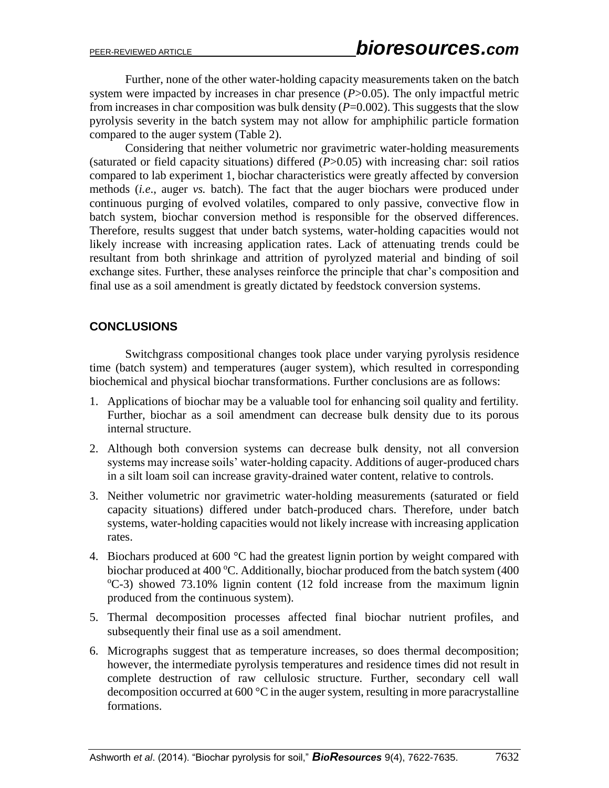Further, none of the other water-holding capacity measurements taken on the batch system were impacted by increases in char presence (*P*>0.05). The only impactful metric from increases in char composition was bulk density  $(P=0.002)$ . This suggests that the slow pyrolysis severity in the batch system may not allow for amphiphilic particle formation compared to the auger system (Table 2).

Considering that neither volumetric nor gravimetric water-holding measurements (saturated or field capacity situations) differed (*P*>0.05) with increasing char: soil ratios compared to lab experiment 1, biochar characteristics were greatly affected by conversion methods (*i.e*., auger *vs.* batch). The fact that the auger biochars were produced under continuous purging of evolved volatiles, compared to only passive, convective flow in batch system, biochar conversion method is responsible for the observed differences. Therefore, results suggest that under batch systems, water-holding capacities would not likely increase with increasing application rates. Lack of attenuating trends could be resultant from both shrinkage and attrition of pyrolyzed material and binding of soil exchange sites. Further, these analyses reinforce the principle that char's composition and final use as a soil amendment is greatly dictated by feedstock conversion systems.

## **CONCLUSIONS**

Switchgrass compositional changes took place under varying pyrolysis residence time (batch system) and temperatures (auger system), which resulted in corresponding biochemical and physical biochar transformations. Further conclusions are as follows:

- 1. Applications of biochar may be a valuable tool for enhancing soil quality and fertility. Further, biochar as a soil amendment can decrease bulk density due to its porous internal structure.
- 2. Although both conversion systems can decrease bulk density, not all conversion systems may increase soils' water-holding capacity. Additions of auger-produced chars in a silt loam soil can increase gravity-drained water content, relative to controls.
- 3. Neither volumetric nor gravimetric water-holding measurements (saturated or field capacity situations) differed under batch-produced chars. Therefore, under batch systems, water-holding capacities would not likely increase with increasing application rates.
- 4. Biochars produced at 600 °C had the greatest lignin portion by weight compared with biochar produced at 400 °C. Additionally, biochar produced from the batch system  $(400$  $^{\circ}$ C-3) showed 73.10% lignin content (12 fold increase from the maximum lignin produced from the continuous system).
- 5. Thermal decomposition processes affected final biochar nutrient profiles, and subsequently their final use as a soil amendment.
- 6. Micrographs suggest that as temperature increases, so does thermal decomposition; however, the intermediate pyrolysis temperatures and residence times did not result in complete destruction of raw cellulosic structure. Further, secondary cell wall decomposition occurred at 600 °C in the auger system, resulting in more paracrystalline formations.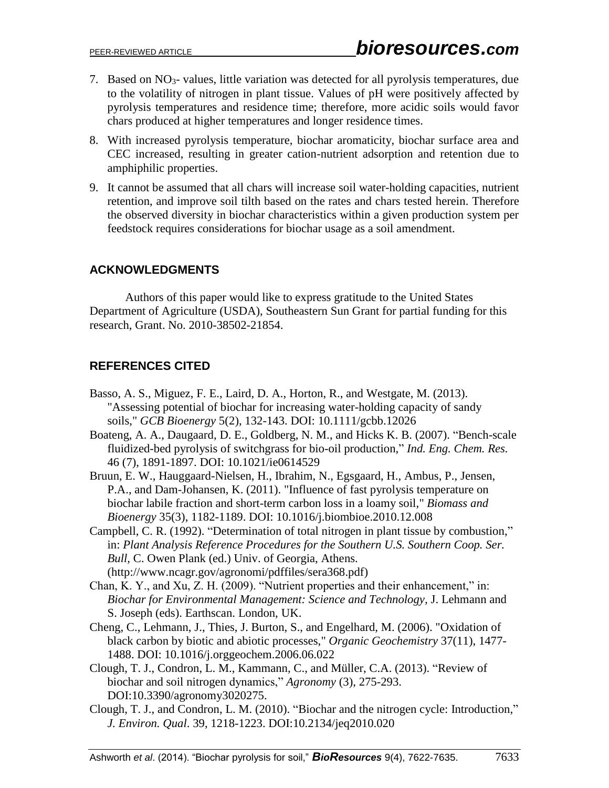- 7. Based on NO3- values, little variation was detected for all pyrolysis temperatures, due to the volatility of nitrogen in plant tissue. Values of pH were positively affected by pyrolysis temperatures and residence time; therefore, more acidic soils would favor chars produced at higher temperatures and longer residence times.
- 8. With increased pyrolysis temperature, biochar aromaticity, biochar surface area and CEC increased, resulting in greater cation-nutrient adsorption and retention due to amphiphilic properties.
- 9. It cannot be assumed that all chars will increase soil water-holding capacities, nutrient retention, and improve soil tilth based on the rates and chars tested herein. Therefore the observed diversity in biochar characteristics within a given production system per feedstock requires considerations for biochar usage as a soil amendment.

## **ACKNOWLEDGMENTS**

Authors of this paper would like to express gratitude to the United States Department of Agriculture (USDA), Southeastern Sun Grant for partial funding for this research, Grant. No. 2010-38502-21854.

## **REFERENCES CITED**

- Basso, A. S., Miguez, F. E., Laird, D. A., Horton, R., and Westgate, M. (2013). "Assessing potential of biochar for increasing water-holding capacity of sandy soils," *GCB Bioenergy* 5(2), 132-143. DOI: 10.1111/gcbb.12026
- Boateng, A. A., Daugaard, D. E., Goldberg, N. M., and Hicks K. B. (2007). "Bench-scale fluidized-bed pyrolysis of switchgrass for bio-oil production," *Ind. Eng. Chem. Res.* 46 (7), 1891-1897. DOI: 10.1021/ie0614529
- Bruun, E. W., Hauggaard-Nielsen, H., Ibrahim, N., Egsgaard, H., Ambus, P., Jensen, P.A., and Dam-Johansen, K. (2011). "Influence of fast pyrolysis temperature on biochar labile fraction and short-term carbon loss in a loamy soil," *Biomass and Bioenergy* 35(3), 1182-1189. DOI: 10.1016/j.biombioe.2010.12.008
- Campbell, C. R. (1992). "Determination of total nitrogen in plant tissue by combustion," in: *Plant Analysis Reference Procedures for the Southern U.S. Southern Coop. Ser. Bull,* C. Owen Plank (ed.) Univ. of Georgia, Athens. (http://www.ncagr.gov/agronomi/pdffiles/sera368.pdf)
- Chan, K. Y., and Xu, Z. H. (2009). "Nutrient properties and their enhancement," in: *Biochar for Environmental Management: Science and Technology,* J. Lehmann and S. Joseph (eds). Earthscan. London, UK.
- Cheng, C., Lehmann, J., Thies, J. Burton, S., and Engelhard, M. (2006). "Oxidation of black carbon by biotic and abiotic processes," *Organic Geochemistry* 37(11), 1477- 1488. DOI: 10.1016/j.orggeochem.2006.06.022
- Clough, T. J., Condron, L. M., Kammann, C., and Müller, C.A. (2013). "Review of biochar and soil nitrogen dynamics," *Agronomy* (3), 275-293. DOI:10.3390/agronomy3020275.
- Clough, T. J., and Condron, L. M. (2010). "Biochar and the nitrogen cycle: Introduction," *J. Environ. Qual*. 39, 1218-1223. DOI:10.2134/jeq2010.020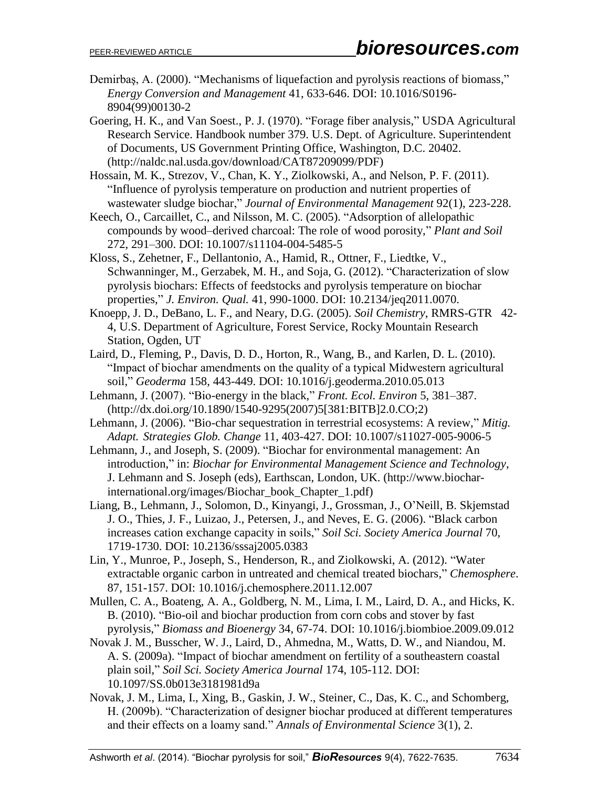- Demirbaş, A. (2000). "Mechanisms of liquefaction and pyrolysis reactions of biomass," *Energy Conversion and Management* 41, 633-646. DOI: 10.1016/S0196- 8904(99)00130-2
- Goering, H. K., and Van Soest., P. J. (1970). "Forage fiber analysis," USDA Agricultural Research Service. Handbook number 379. U.S. Dept. of Agriculture. Superintendent of Documents, US Government Printing Office, Washington, D.C. 20402. (http://naldc.nal.usda.gov/download/CAT87209099/PDF)
- Hossain, M. K., Strezov, V., Chan, K. Y., Ziolkowski, A., and Nelson, P. F. (2011). "Influence of pyrolysis temperature on production and nutrient properties of wastewater sludge biochar," *Journal of Environmental Management* 92(1), 223-228.
- Keech, O., Carcaillet, C., and Nilsson, M. C. (2005). "Adsorption of allelopathic compounds by wood–derived charcoal: The role of wood porosity," *Plant and Soil* 272, 291–300. DOI: 10.1007/s11104-004-5485-5
- Kloss, S., Zehetner, F., Dellantonio, A., Hamid, R., Ottner, F., Liedtke, V., Schwanninger, M., Gerzabek, M. H., and Soja, G. (2012). "Characterization of slow pyrolysis biochars: Effects of feedstocks and pyrolysis temperature on biochar properties," *J. Environ. Qual.* 41, 990-1000. DOI: 10.2134/jeq2011.0070.
- Knoepp, J. D., DeBano, L. F., and Neary, D.G. (2005). *Soil Chemistry*, RMRS-GTR 42- 4, U.S. Department of Agriculture, Forest Service, Rocky Mountain Research Station, Ogden, UT
- Laird, D., Fleming, P., Davis, D. D., Horton, R., Wang, B., and Karlen, D. L. (2010). "Impact of biochar amendments on the quality of a typical Midwestern agricultural soil," *Geoderma* 158, 443-449. DOI: 10.1016/j.geoderma.2010.05.013
- Lehmann, J. (2007). "Bio-energy in the black," *Front. Ecol. Environ* 5, 381–387. (http://dx.doi.org/10.1890/1540-9295(2007)5[381:BITB]2.0.CO;2)
- Lehmann, J. (2006). "Bio-char sequestration in terrestrial ecosystems: A review," *Mitig. Adapt. Strategies Glob. Change* 11, 403-427. DOI: 10.1007/s11027-005-9006-5
- Lehmann, J., and Joseph, S. (2009). "Biochar for environmental management: An introduction," in: *Biochar for Environmental Management Science and Technology*, J. Lehmann and S. Joseph (eds), Earthscan, London, UK. (http://www.biocharinternational.org/images/Biochar\_book\_Chapter\_1.pdf)
- Liang, B., Lehmann, J., Solomon, D., Kinyangi, J., Grossman, J., O'Neill, B. Skjemstad J. O., Thies, J. F., Luizao, J., Petersen, J., and Neves, E. G. (2006). "Black carbon increases cation exchange capacity in soils," *Soil Sci. Society America Journal* 70, 1719-1730. DOI: 10.2136/sssaj2005.0383
- Lin, Y., Munroe, P., Joseph, S., Henderson, R., and Ziolkowski, A. (2012). "Water extractable organic carbon in untreated and chemical treated biochars," *Chemosphere*. 87, 151-157. DOI: 10.1016/j.chemosphere.2011.12.007
- Mullen, C. A., Boateng, A. A., Goldberg, N. M., Lima, I. M., Laird, D. A., and Hicks, K. B. (2010). "Bio-oil and biochar production from corn cobs and stover by fast pyrolysis," *Biomass and Bioenergy* 34, 67-74. DOI: 10.1016/j.biombioe.2009.09.012
- Novak J. M., Busscher, W. J., Laird, D., Ahmedna, M., Watts, D. W., and Niandou, M. A. S. (2009a). "Impact of biochar amendment on fertility of a southeastern coastal plain soil," *Soil Sci. Society America Journal* 174, 105-112. DOI: 10.1097/SS.0b013e3181981d9a
- Novak, J. M., Lima, I., Xing, B., Gaskin, J. W., Steiner, C., Das, K. C., and Schomberg, H. (2009b). "Characterization of designer biochar produced at different temperatures and their effects on a loamy sand." *Annals of Environmental Science* 3(1), 2.